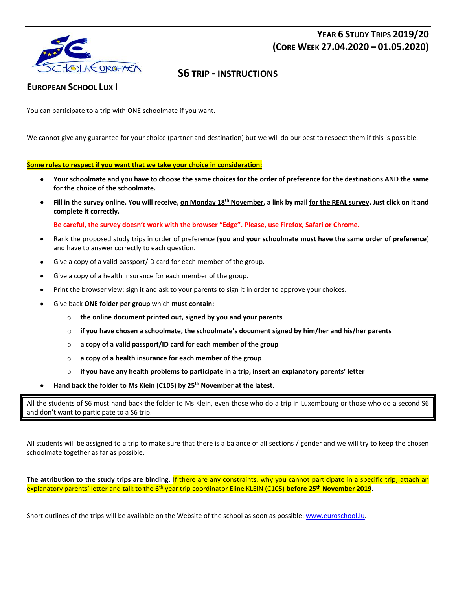





## **EUROPEAN SCHOOL LUX I**

You can participate to a trip with ONE schoolmate if you want.

We cannot give any guarantee for your choice (partner and destination) but we will do our best to respect them if this is possible.

## **Some rules to respect if you want that we take your choice in consideration:**

- **Your schoolmate and you have to choose the same choices for the order of preference for the destinations AND the same for the choice of the schoolmate.**
- **Fill in the survey online. You will receive, on Monday 18th November, a link by mail for the REAL survey. Just click on it and complete it correctly.**

**Be careful, the survey doesn't work with the browser "Edge". Please, use Firefox, Safari or Chrome.**

- Rank the proposed study trips in order of preference (**you and your schoolmate must have the same order of preference**) and have to answer correctly to each question.
- Give a copy of a valid passport/ID card for each member of the group.
- Give a copy of a health insurance for each member of the group.
- Print the browser view; sign it and ask to your parents to sign it in order to approve your choices.
- Give back **ONE folder per group** which **must contain:**
	- o **the online document printed out, signed by you and your parents**
	- o **if you have chosen a schoolmate, the schoolmate's document signed by him/her and his/her parents**
	- o **a copy of a valid passport/ID card for each member of the group**
	- o **a copy of a health insurance for each member of the group**
	- o **if you have any health problems to participate in a trip, insert an explanatory parents' letter**
- **Hand back the folder to Ms Klein (C105) by 25th November at the latest.**

All the students of S6 must hand back the folder to Ms Klein, even those who do a trip in Luxembourg or those who do a second S6 and don't want to participate to a S6 trip.

All students will be assigned to a trip to make sure that there is a balance of all sections / gender and we will try to keep the chosen schoolmate together as far as possible.

**The attribution to the study trips are binding.** If there are any constraints, why you cannot participate in a specific trip, attach an explanatory parents' letter and talk to the 6th year trip coordinator Eline KLEIN (C105) **before 25th November 2019**.

Short outlines of the trips will be available on the Website of the school as soon as possible[: www.euroschool.lu.](file:///C:/Users/el.klein/AppData/Local/Temp/Temp1_OneDrive_1_15-10-2018.zip/www.euroschool.lu)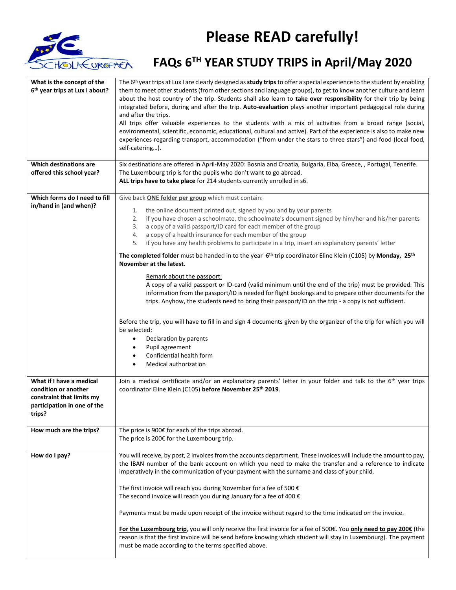

## **Please READ carefully!**

## **FAQs 6TH YEAR STUDY TRIPS in April/May 2020**

| What is the concept of the<br>6th year trips at Lux I about?<br><b>Which destinations are</b><br>offered this school year? | The 6 <sup>th</sup> year trips at Lux I are clearly designed as <b>study trips</b> to offer a special experience to the student by enabling<br>them to meet other students (from other sections and language groups), to get to know another culture and learn<br>about the host country of the trip. Students shall also learn to take over responsibility for their trip by being<br>integrated before, during and after the trip. Auto-evaluation plays another important pedagogical role during<br>and after the trips.<br>All trips offer valuable experiences to the students with a mix of activities from a broad range (social,<br>environmental, scientific, economic, educational, cultural and active). Part of the experience is also to make new<br>experiences regarding transport, accommodation ("from under the stars to three stars") and food (local food,<br>self-catering).<br>Six destinations are offered in April-May 2020: Bosnia and Croatia, Bulgaria, Elba, Greece, , Portugal, Tenerife.<br>The Luxembourg trip is for the pupils who don't want to go abroad.<br>ALL trips have to take place for 214 students currently enrolled in s6. |
|----------------------------------------------------------------------------------------------------------------------------|--------------------------------------------------------------------------------------------------------------------------------------------------------------------------------------------------------------------------------------------------------------------------------------------------------------------------------------------------------------------------------------------------------------------------------------------------------------------------------------------------------------------------------------------------------------------------------------------------------------------------------------------------------------------------------------------------------------------------------------------------------------------------------------------------------------------------------------------------------------------------------------------------------------------------------------------------------------------------------------------------------------------------------------------------------------------------------------------------------------------------------------------------------------------------|
| Which forms do I need to fill<br>in/hand in (and when)?                                                                    | Give back ONE folder per group which must contain:<br>the online document printed out, signed by you and by your parents<br>1.<br>if you have chosen a schoolmate, the schoolmate's document signed by him/her and his/her parents<br>2.<br>a copy of a valid passport/ID card for each member of the group<br>3.<br>a copy of a health insurance for each member of the group<br>4.<br>if you have any health problems to participate in a trip, insert an explanatory parents' letter<br>5.<br>The completed folder must be handed in to the year $6th$ trip coordinator Eline Klein (C105) by Monday, 25 <sup>th</sup><br>November at the latest.                                                                                                                                                                                                                                                                                                                                                                                                                                                                                                                     |
|                                                                                                                            | Remark about the passport:<br>A copy of a valid passport or ID-card (valid minimum until the end of the trip) must be provided. This<br>information from the passport/ID is needed for flight bookings and to prepare other documents for the<br>trips. Anyhow, the students need to bring their passport/ID on the trip - a copy is not sufficient.<br>Before the trip, you will have to fill in and sign 4 documents given by the organizer of the trip for which you will<br>be selected:<br>Declaration by parents<br>$\bullet$<br>Pupil agreement<br>$\bullet$<br>Confidential health form<br>$\bullet$<br>Medical authorization<br>٠                                                                                                                                                                                                                                                                                                                                                                                                                                                                                                                               |
| What if I have a medical<br>condition or another<br>constraint that limits my<br>participation in one of the<br>trips?     | Join a medical certificate and/or an explanatory parents' letter in your folder and talk to the 6 <sup>th</sup> year trips<br>coordinator Eline Klein (C105) before November 25th 2019.                                                                                                                                                                                                                                                                                                                                                                                                                                                                                                                                                                                                                                                                                                                                                                                                                                                                                                                                                                                  |
| How much are the trips?                                                                                                    | The price is 900€ for each of the trips abroad.<br>The price is 200€ for the Luxembourg trip.                                                                                                                                                                                                                                                                                                                                                                                                                                                                                                                                                                                                                                                                                                                                                                                                                                                                                                                                                                                                                                                                            |
| How do I pay?                                                                                                              | You will receive, by post, 2 invoices from the accounts department. These invoices will include the amount to pay,<br>the IBAN number of the bank account on which you need to make the transfer and a reference to indicate<br>imperatively in the communication of your payment with the surname and class of your child.<br>The first invoice will reach you during November for a fee of 500 $\epsilon$<br>The second invoice will reach you during January for a fee of 400 $\epsilon$<br>Payments must be made upon receipt of the invoice without regard to the time indicated on the invoice.<br>For the Luxembourg trip, you will only receive the first invoice for a fee of 500€. You only need to pay 200€ (the<br>reason is that the first invoice will be send before knowing which student will stay in Luxembourg). The payment<br>must be made according to the terms specified above.                                                                                                                                                                                                                                                                  |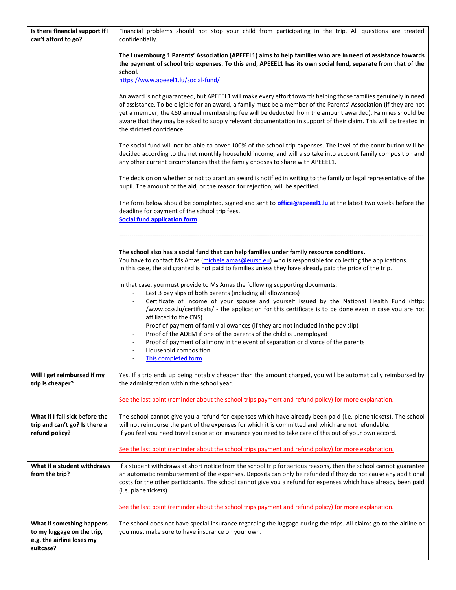| Is there financial support if I<br>can't afford to go?                                            | Financial problems should not stop your child from participating in the trip. All questions are treated<br>confidentially.                                                                                                                                                                                                                                                                                                                                                                                                                                                                                                                                                            |
|---------------------------------------------------------------------------------------------------|---------------------------------------------------------------------------------------------------------------------------------------------------------------------------------------------------------------------------------------------------------------------------------------------------------------------------------------------------------------------------------------------------------------------------------------------------------------------------------------------------------------------------------------------------------------------------------------------------------------------------------------------------------------------------------------|
|                                                                                                   | The Luxembourg 1 Parents' Association (APEEEL1) aims to help families who are in need of assistance towards<br>the payment of school trip expenses. To this end, APEEEL1 has its own social fund, separate from that of the<br>school.                                                                                                                                                                                                                                                                                                                                                                                                                                                |
|                                                                                                   | https://www.apeeel1.lu/social-fund/                                                                                                                                                                                                                                                                                                                                                                                                                                                                                                                                                                                                                                                   |
|                                                                                                   | An award is not guaranteed, but APEEEL1 will make every effort towards helping those families genuinely in need<br>of assistance. To be eligible for an award, a family must be a member of the Parents' Association (if they are not<br>yet a member, the €50 annual membership fee will be deducted from the amount awarded). Families should be<br>aware that they may be asked to supply relevant documentation in support of their claim. This will be treated in<br>the strictest confidence.                                                                                                                                                                                   |
|                                                                                                   | The social fund will not be able to cover 100% of the school trip expenses. The level of the contribution will be<br>decided according to the net monthly household income, and will also take into account family composition and<br>any other current circumstances that the family chooses to share with APEEEL1.                                                                                                                                                                                                                                                                                                                                                                  |
|                                                                                                   | The decision on whether or not to grant an award is notified in writing to the family or legal representative of the<br>pupil. The amount of the aid, or the reason for rejection, will be specified.                                                                                                                                                                                                                                                                                                                                                                                                                                                                                 |
|                                                                                                   | The form below should be completed, signed and sent to <b>office@apeee11.lu</b> at the latest two weeks before the<br>deadline for payment of the school trip fees.<br><b>Social fund application form</b>                                                                                                                                                                                                                                                                                                                                                                                                                                                                            |
|                                                                                                   |                                                                                                                                                                                                                                                                                                                                                                                                                                                                                                                                                                                                                                                                                       |
|                                                                                                   | The school also has a social fund that can help families under family resource conditions.<br>You have to contact Ms Amas (michele.amas@eursc.eu) who is responsible for collecting the applications.<br>In this case, the aid granted is not paid to families unless they have already paid the price of the trip.                                                                                                                                                                                                                                                                                                                                                                   |
|                                                                                                   | In that case, you must provide to Ms Amas the following supporting documents:<br>Last 3 pay slips of both parents (including all allowances)<br>Certificate of income of your spouse and yourself issued by the National Health Fund (http:<br>/www.ccss.lu/certificats/ - the application for this certificate is to be done even in case you are not<br>affiliated to the CNS)<br>Proof of payment of family allowances (if they are not included in the pay slip)<br>Proof of the ADEM if one of the parents of the child is unemployed<br>Proof of payment of alimony in the event of separation or divorce of the parents<br>Household composition<br><b>This completed form</b> |
| Will I get reimbursed if my<br>trip is cheaper?                                                   | Yes. If a trip ends up being notably cheaper than the amount charged, you will be automatically reimbursed by<br>the administration within the school year.                                                                                                                                                                                                                                                                                                                                                                                                                                                                                                                           |
|                                                                                                   | See the last point (reminder about the school trips payment and refund policy) for more explanation.                                                                                                                                                                                                                                                                                                                                                                                                                                                                                                                                                                                  |
| What if I fall sick before the<br>trip and can't go? Is there a<br>refund policy?                 | The school cannot give you a refund for expenses which have already been paid (i.e. plane tickets). The school<br>will not reimburse the part of the expenses for which it is committed and which are not refundable.<br>If you feel you need travel cancelation insurance you need to take care of this out of your own accord.                                                                                                                                                                                                                                                                                                                                                      |
|                                                                                                   | See the last point (reminder about the school trips payment and refund policy) for more explanation.                                                                                                                                                                                                                                                                                                                                                                                                                                                                                                                                                                                  |
| What if a student withdraws<br>from the trip?                                                     | If a student withdraws at short notice from the school trip for serious reasons, then the school cannot guarantee<br>an automatic reimbursement of the expenses. Deposits can only be refunded if they do not cause any additional<br>costs for the other participants. The school cannot give you a refund for expenses which have already been paid<br>(i.e. plane tickets).                                                                                                                                                                                                                                                                                                        |
|                                                                                                   | See the last point (reminder about the school trips payment and refund policy) for more explanation.                                                                                                                                                                                                                                                                                                                                                                                                                                                                                                                                                                                  |
| What if something happens<br>to my luggage on the trip,<br>e.g. the airline loses my<br>suitcase? | The school does not have special insurance regarding the luggage during the trips. All claims go to the airline or<br>you must make sure to have insurance on your own.                                                                                                                                                                                                                                                                                                                                                                                                                                                                                                               |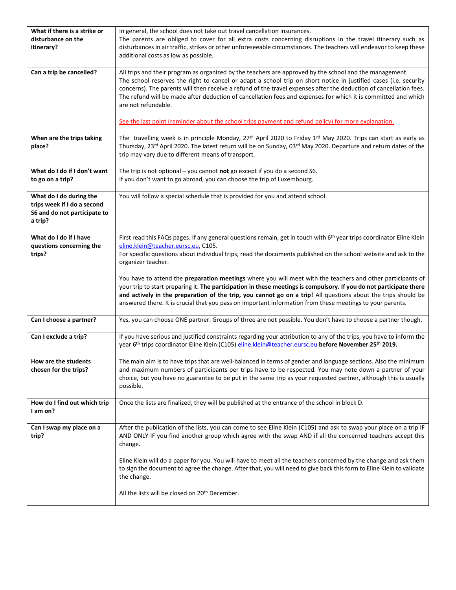| What if there is a strike or<br>disturbance on the<br>itinerary?                                  | In general, the school does not take out travel cancellation insurances.<br>The parents are obliged to cover for all extra costs concerning disruptions in the travel itinerary such as<br>disturbances in air traffic, strikes or other unforeseeable circumstances. The teachers will endeavor to keep these<br>additional costs as low as possible.                                                                                                                                                                                                                                            |
|---------------------------------------------------------------------------------------------------|---------------------------------------------------------------------------------------------------------------------------------------------------------------------------------------------------------------------------------------------------------------------------------------------------------------------------------------------------------------------------------------------------------------------------------------------------------------------------------------------------------------------------------------------------------------------------------------------------|
| Can a trip be cancelled?                                                                          | All trips and their program as organized by the teachers are approved by the school and the management.<br>The school reserves the right to cancel or adapt a school trip on short notice in justified cases (i.e. security<br>concerns). The parents will then receive a refund of the travel expenses after the deduction of cancellation fees.<br>The refund will be made after deduction of cancellation fees and expenses for which it is committed and which<br>are not refundable.<br>See the last point (reminder about the school trips payment and refund policy) for more explanation. |
| When are the trips taking<br>place?                                                               | The travelling week is in principle Monday, 27 <sup>th</sup> April 2020 to Friday 1 <sup>rd</sup> May 2020. Trips can start as early as<br>Thursday, 23 <sup>rd</sup> April 2020. The latest return will be on Sunday, 03 <sup>rd</sup> May 2020. Departure and return dates of the<br>trip may vary due to different means of transport.                                                                                                                                                                                                                                                         |
| What do I do if I don't want<br>to go on a trip?                                                  | The trip is not optional $-$ you cannot not go except if you do a second S6.<br>If you don't want to go abroad, you can choose the trip of Luxembourg.                                                                                                                                                                                                                                                                                                                                                                                                                                            |
| What do I do during the<br>trips week if I do a second<br>S6 and do not participate to<br>a trip? | You will follow a special schedule that is provided for you and attend school.                                                                                                                                                                                                                                                                                                                                                                                                                                                                                                                    |
| What do I do if I have<br>questions concerning the<br>trips?                                      | First read this FAQs pages. If any general questions remain, get in touch with 6 <sup>th</sup> year trips coordinator Eline Klein<br>eline.klein@teacher.eursc.eu, C105.<br>For specific questions about individual trips, read the documents published on the school website and ask to the<br>organizer teacher.                                                                                                                                                                                                                                                                                |
|                                                                                                   | You have to attend the preparation meetings where you will meet with the teachers and other participants of<br>your trip to start preparing it. The participation in these meetings is compulsory. If you do not participate there<br>and actively in the preparation of the trip, you cannot go on a trip! All questions about the trips should be<br>answered there. It is crucial that you pass on important information from these meetings to your parents.                                                                                                                                  |
| Can I choose a partner?                                                                           | Yes, you can choose ONE partner. Groups of three are not possible. You don't have to choose a partner though.                                                                                                                                                                                                                                                                                                                                                                                                                                                                                     |
| Can I exclude a trip?                                                                             | If you have serious and justified constraints regarding your attribution to any of the trips, you have to inform the<br>year 6th trips coordinator Eline Klein (C105) eline.klein@teacher.eursc.eu before November 25th 2019.                                                                                                                                                                                                                                                                                                                                                                     |
| How are the students<br>chosen for the trips?                                                     | The main aim is to have trips that are well-balanced in terms of gender and language sections. Also the minimum<br>and maximum numbers of participants per trips have to be respected. You may note down a partner of your<br>choice, but you have no guarantee to be put in the same trip as your requested partner, although this is usually<br>possible.                                                                                                                                                                                                                                       |
| How do I find out which trip<br>I am on?                                                          | Once the lists are finalized, they will be published at the entrance of the school in block D.                                                                                                                                                                                                                                                                                                                                                                                                                                                                                                    |
| Can I swap my place on a<br>trip?                                                                 | After the publication of the lists, you can come to see Eline Klein (C105) and ask to swap your place on a trip IF<br>AND ONLY IF you find another group which agree with the swap AND if all the concerned teachers accept this<br>change.                                                                                                                                                                                                                                                                                                                                                       |
|                                                                                                   | Eline Klein will do a paper for you. You will have to meet all the teachers concerned by the change and ask them<br>to sign the document to agree the change. After that, you will need to give back this form to Eline Klein to validate<br>the change.                                                                                                                                                                                                                                                                                                                                          |
|                                                                                                   | All the lists will be closed on 20 <sup>th</sup> December.                                                                                                                                                                                                                                                                                                                                                                                                                                                                                                                                        |